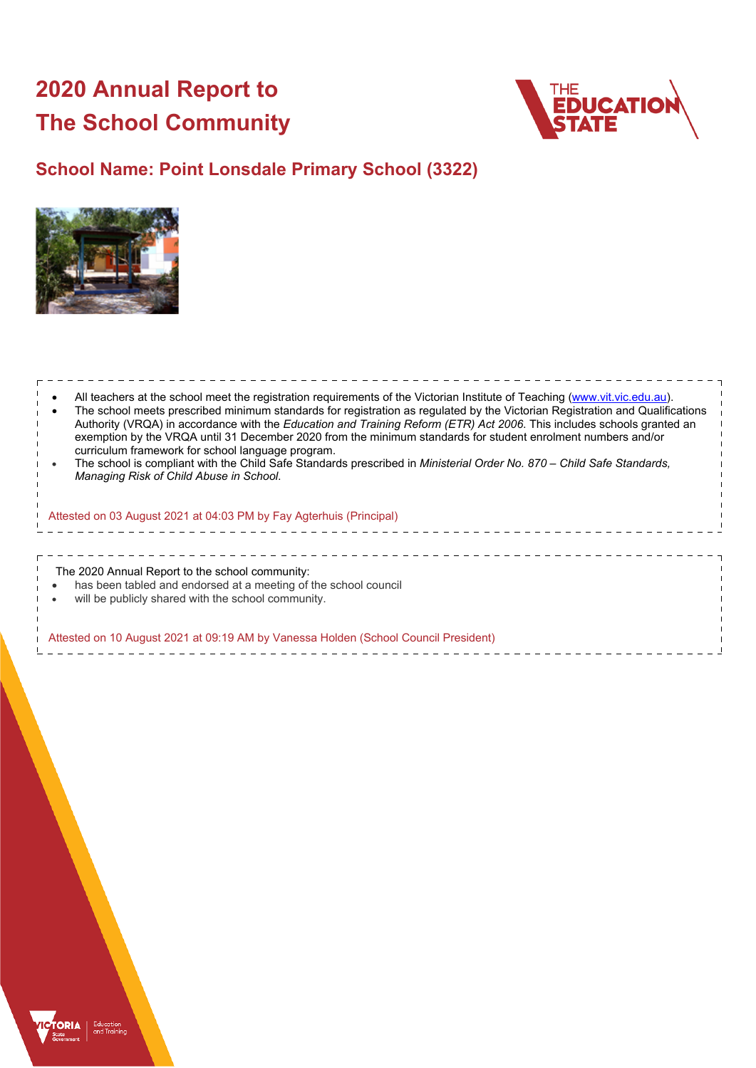# **2020 Annual Report to The School Community**



## **School Name: Point Lonsdale Primary School (3322)**



| All teachers at the school meet the registration requirements of the Victorian Institute of Teaching (www.vit.vic.edu.au).<br>The school meets prescribed minimum standards for registration as regulated by the Victorian Registration and Qualifications<br>Authority (VRQA) in accordance with the Education and Training Reform (ETR) Act 2006. This includes schools granted an<br>exemption by the VRQA until 31 December 2020 from the minimum standards for student enrolment numbers and/or<br>curriculum framework for school language program.<br>The school is compliant with the Child Safe Standards prescribed in Ministerial Order No. 870 - Child Safe Standards,<br>Managing Risk of Child Abuse in School. |  |
|-------------------------------------------------------------------------------------------------------------------------------------------------------------------------------------------------------------------------------------------------------------------------------------------------------------------------------------------------------------------------------------------------------------------------------------------------------------------------------------------------------------------------------------------------------------------------------------------------------------------------------------------------------------------------------------------------------------------------------|--|
| Attested on 03 August 2021 at 04:03 PM by Fay Agterhuis (Principal)                                                                                                                                                                                                                                                                                                                                                                                                                                                                                                                                                                                                                                                           |  |
| The 2020 Annual Report to the school community:<br>has been tabled and endorsed at a meeting of the school council<br>will be publicly shared with the school community.                                                                                                                                                                                                                                                                                                                                                                                                                                                                                                                                                      |  |
| Attested on 10 August 2021 at 09:19 AM by Vanessa Holden (School Council President)                                                                                                                                                                                                                                                                                                                                                                                                                                                                                                                                                                                                                                           |  |

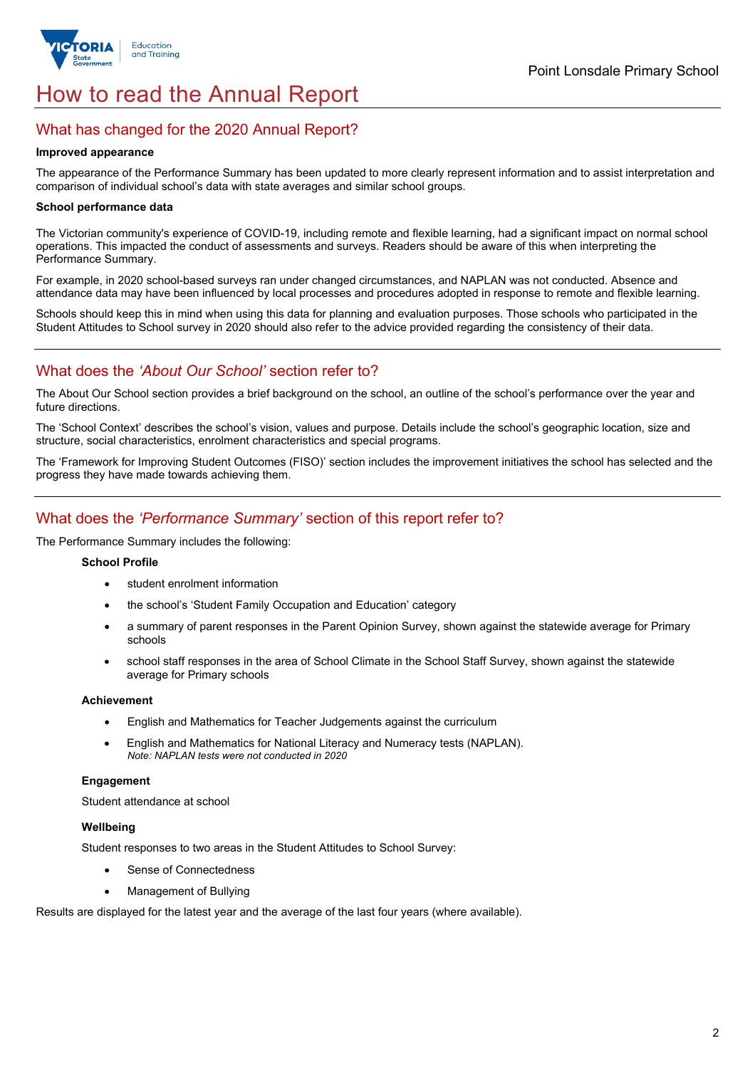

# How to read the Annual Report

## What has changed for the 2020 Annual Report?

#### **Improved appearance**

The appearance of the Performance Summary has been updated to more clearly represent information and to assist interpretation and comparison of individual school's data with state averages and similar school groups.

#### **School performance data**

The Victorian community's experience of COVID-19, including remote and flexible learning, had a significant impact on normal school operations. This impacted the conduct of assessments and surveys. Readers should be aware of this when interpreting the Performance Summary.

For example, in 2020 school-based surveys ran under changed circumstances, and NAPLAN was not conducted. Absence and attendance data may have been influenced by local processes and procedures adopted in response to remote and flexible learning.

Schools should keep this in mind when using this data for planning and evaluation purposes. Those schools who participated in the Student Attitudes to School survey in 2020 should also refer to the advice provided regarding the consistency of their data.

## What does the *'About Our School'* section refer to?

The About Our School section provides a brief background on the school, an outline of the school's performance over the year and future directions.

The 'School Context' describes the school's vision, values and purpose. Details include the school's geographic location, size and structure, social characteristics, enrolment characteristics and special programs.

The 'Framework for Improving Student Outcomes (FISO)' section includes the improvement initiatives the school has selected and the progress they have made towards achieving them.

## What does the *'Performance Summary'* section of this report refer to?

The Performance Summary includes the following:

#### **School Profile**

- student enrolment information
- the school's 'Student Family Occupation and Education' category
- a summary of parent responses in the Parent Opinion Survey, shown against the statewide average for Primary schools
- school staff responses in the area of School Climate in the School Staff Survey, shown against the statewide average for Primary schools

#### **Achievement**

- English and Mathematics for Teacher Judgements against the curriculum
- English and Mathematics for National Literacy and Numeracy tests (NAPLAN). *Note: NAPLAN tests were not conducted in 2020*

### **Engagement**

Student attendance at school

### **Wellbeing**

Student responses to two areas in the Student Attitudes to School Survey:

- Sense of Connectedness
- Management of Bullying

Results are displayed for the latest year and the average of the last four years (where available).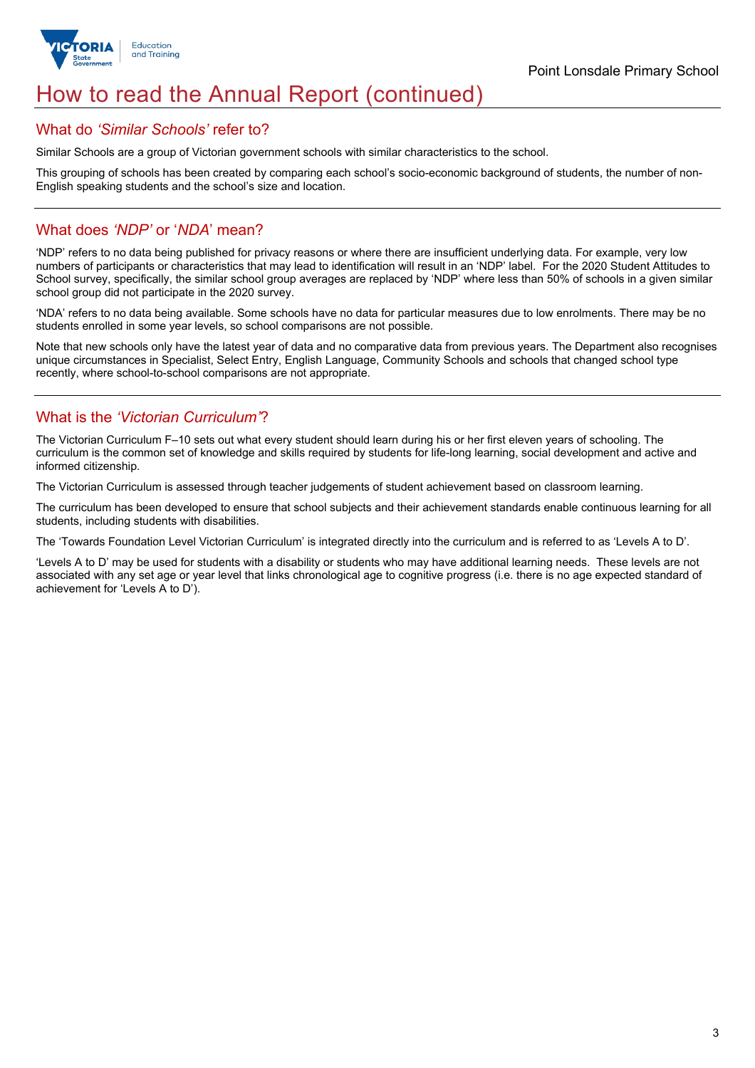

## How to read the Annual Report (continued)

## What do *'Similar Schools'* refer to?

Similar Schools are a group of Victorian government schools with similar characteristics to the school.

This grouping of schools has been created by comparing each school's socio-economic background of students, the number of non-English speaking students and the school's size and location.

## What does *'NDP'* or '*NDA*' mean?

'NDP' refers to no data being published for privacy reasons or where there are insufficient underlying data. For example, very low numbers of participants or characteristics that may lead to identification will result in an 'NDP' label. For the 2020 Student Attitudes to School survey, specifically, the similar school group averages are replaced by 'NDP' where less than 50% of schools in a given similar school group did not participate in the 2020 survey.

'NDA' refers to no data being available. Some schools have no data for particular measures due to low enrolments. There may be no students enrolled in some year levels, so school comparisons are not possible.

Note that new schools only have the latest year of data and no comparative data from previous years. The Department also recognises unique circumstances in Specialist, Select Entry, English Language, Community Schools and schools that changed school type recently, where school-to-school comparisons are not appropriate.

## What is the *'Victorian Curriculum'*?

The Victorian Curriculum F–10 sets out what every student should learn during his or her first eleven years of schooling. The curriculum is the common set of knowledge and skills required by students for life-long learning, social development and active and informed citizenship.

The Victorian Curriculum is assessed through teacher judgements of student achievement based on classroom learning.

The curriculum has been developed to ensure that school subjects and their achievement standards enable continuous learning for all students, including students with disabilities.

The 'Towards Foundation Level Victorian Curriculum' is integrated directly into the curriculum and is referred to as 'Levels A to D'.

'Levels A to D' may be used for students with a disability or students who may have additional learning needs. These levels are not associated with any set age or year level that links chronological age to cognitive progress (i.e. there is no age expected standard of achievement for 'Levels A to D').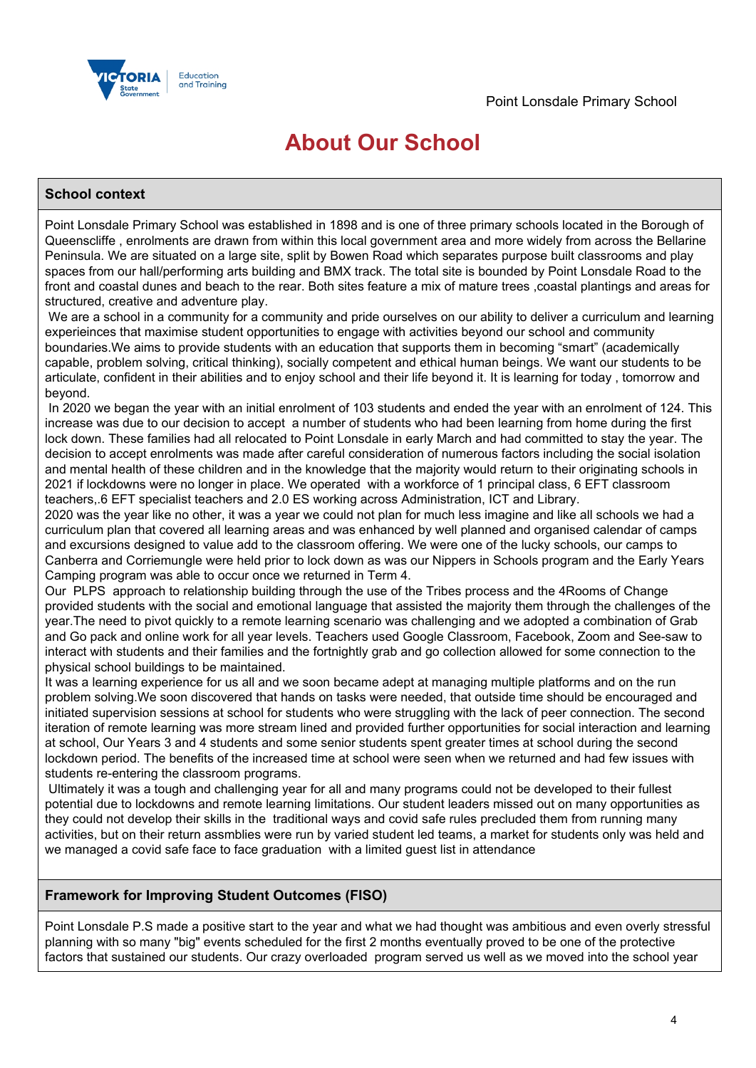

## **About Our School**

## **School context**

Point Lonsdale Primary School was established in 1898 and is one of three primary schools located in the Borough of Queenscliffe , enrolments are drawn from within this local government area and more widely from across the Bellarine Peninsula. We are situated on a large site, split by Bowen Road which separates purpose built classrooms and play spaces from our hall/performing arts building and BMX track. The total site is bounded by Point Lonsdale Road to the front and coastal dunes and beach to the rear. Both sites feature a mix of mature trees ,coastal plantings and areas for structured, creative and adventure play.

We are a school in a community for a community and pride ourselves on our ability to deliver a curriculum and learning experieinces that maximise student opportunities to engage with activities beyond our school and community boundaries.We aims to provide students with an education that supports them in becoming "smart" (academically capable, problem solving, critical thinking), socially competent and ethical human beings. We want our students to be articulate, confident in their abilities and to enjoy school and their life beyond it. It is learning for today , tomorrow and beyond.

In 2020 we began the year with an initial enrolment of 103 students and ended the year with an enrolment of 124. This increase was due to our decision to accept a number of students who had been learning from home during the first lock down. These families had all relocated to Point Lonsdale in early March and had committed to stay the year. The decision to accept enrolments was made after careful consideration of numerous factors including the social isolation and mental health of these children and in the knowledge that the majority would return to their originating schools in 2021 if lockdowns were no longer in place. We operated with a workforce of 1 principal class, 6 EFT classroom teachers,.6 EFT specialist teachers and 2.0 ES working across Administration, ICT and Library.

2020 was the year like no other, it was a year we could not plan for much less imagine and like all schools we had a curriculum plan that covered all learning areas and was enhanced by well planned and organised calendar of camps and excursions designed to value add to the classroom offering. We were one of the lucky schools, our camps to Canberra and Corriemungle were held prior to lock down as was our Nippers in Schools program and the Early Years Camping program was able to occur once we returned in Term 4.

Our PLPS approach to relationship building through the use of the Tribes process and the 4Rooms of Change provided students with the social and emotional language that assisted the majority them through the challenges of the year.The need to pivot quickly to a remote learning scenario was challenging and we adopted a combination of Grab and Go pack and online work for all year levels. Teachers used Google Classroom, Facebook, Zoom and See-saw to interact with students and their families and the fortnightly grab and go collection allowed for some connection to the physical school buildings to be maintained.

It was a learning experience for us all and we soon became adept at managing multiple platforms and on the run problem solving.We soon discovered that hands on tasks were needed, that outside time should be encouraged and initiated supervision sessions at school for students who were struggling with the lack of peer connection. The second iteration of remote learning was more stream lined and provided further opportunities for social interaction and learning at school, Our Years 3 and 4 students and some senior students spent greater times at school during the second lockdown period. The benefits of the increased time at school were seen when we returned and had few issues with students re-entering the classroom programs.

Ultimately it was a tough and challenging year for all and many programs could not be developed to their fullest potential due to lockdowns and remote learning limitations. Our student leaders missed out on many opportunities as they could not develop their skills in the traditional ways and covid safe rules precluded them from running many activities, but on their return assmblies were run by varied student led teams, a market for students only was held and we managed a covid safe face to face graduation with a limited guest list in attendance

## **Framework for Improving Student Outcomes (FISO)**

Point Lonsdale P.S made a positive start to the year and what we had thought was ambitious and even overly stressful planning with so many "big" events scheduled for the first 2 months eventually proved to be one of the protective factors that sustained our students. Our crazy overloaded program served us well as we moved into the school year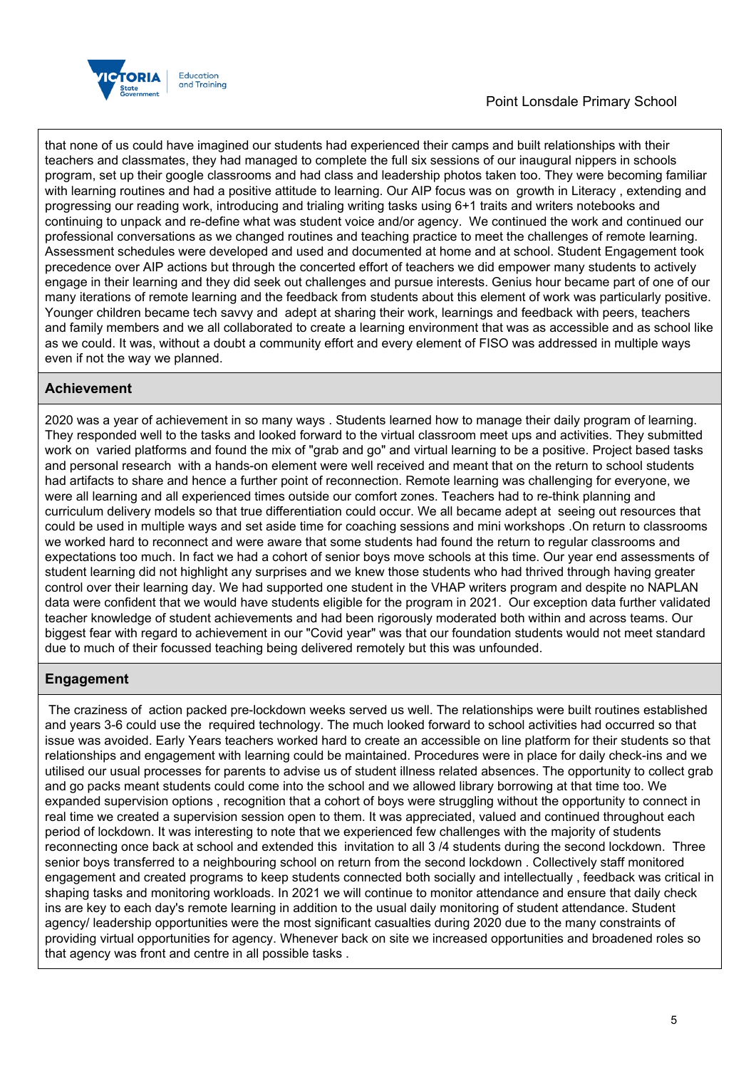

that none of us could have imagined our students had experienced their camps and built relationships with their teachers and classmates, they had managed to complete the full six sessions of our inaugural nippers in schools program, set up their google classrooms and had class and leadership photos taken too. They were becoming familiar with learning routines and had a positive attitude to learning. Our AIP focus was on growth in Literacy , extending and progressing our reading work, introducing and trialing writing tasks using 6+1 traits and writers notebooks and continuing to unpack and re-define what was student voice and/or agency. We continued the work and continued our professional conversations as we changed routines and teaching practice to meet the challenges of remote learning. Assessment schedules were developed and used and documented at home and at school. Student Engagement took precedence over AIP actions but through the concerted effort of teachers we did empower many students to actively engage in their learning and they did seek out challenges and pursue interests. Genius hour became part of one of our many iterations of remote learning and the feedback from students about this element of work was particularly positive. Younger children became tech savvy and adept at sharing their work, learnings and feedback with peers, teachers and family members and we all collaborated to create a learning environment that was as accessible and as school like as we could. It was, without a doubt a community effort and every element of FISO was addressed in multiple ways even if not the way we planned.

## **Achievement**

2020 was a year of achievement in so many ways . Students learned how to manage their daily program of learning. They responded well to the tasks and looked forward to the virtual classroom meet ups and activities. They submitted work on varied platforms and found the mix of "grab and go" and virtual learning to be a positive. Project based tasks and personal research with a hands-on element were well received and meant that on the return to school students had artifacts to share and hence a further point of reconnection. Remote learning was challenging for everyone, we were all learning and all experienced times outside our comfort zones. Teachers had to re-think planning and curriculum delivery models so that true differentiation could occur. We all became adept at seeing out resources that could be used in multiple ways and set aside time for coaching sessions and mini workshops .On return to classrooms we worked hard to reconnect and were aware that some students had found the return to regular classrooms and expectations too much. In fact we had a cohort of senior boys move schools at this time. Our year end assessments of student learning did not highlight any surprises and we knew those students who had thrived through having greater control over their learning day. We had supported one student in the VHAP writers program and despite no NAPLAN data were confident that we would have students eligible for the program in 2021. Our exception data further validated teacher knowledge of student achievements and had been rigorously moderated both within and across teams. Our biggest fear with regard to achievement in our "Covid year" was that our foundation students would not meet standard due to much of their focussed teaching being delivered remotely but this was unfounded.

## **Engagement**

The craziness of action packed pre-lockdown weeks served us well. The relationships were built routines established and years 3-6 could use the required technology. The much looked forward to school activities had occurred so that issue was avoided. Early Years teachers worked hard to create an accessible on line platform for their students so that relationships and engagement with learning could be maintained. Procedures were in place for daily check-ins and we utilised our usual processes for parents to advise us of student illness related absences. The opportunity to collect grab and go packs meant students could come into the school and we allowed library borrowing at that time too. We expanded supervision options , recognition that a cohort of boys were struggling without the opportunity to connect in real time we created a supervision session open to them. It was appreciated, valued and continued throughout each period of lockdown. It was interesting to note that we experienced few challenges with the majority of students reconnecting once back at school and extended this invitation to all 3 /4 students during the second lockdown. Three senior boys transferred to a neighbouring school on return from the second lockdown . Collectively staff monitored engagement and created programs to keep students connected both socially and intellectually , feedback was critical in shaping tasks and monitoring workloads. In 2021 we will continue to monitor attendance and ensure that daily check ins are key to each day's remote learning in addition to the usual daily monitoring of student attendance. Student agency/ leadership opportunities were the most significant casualties during 2020 due to the many constraints of providing virtual opportunities for agency. Whenever back on site we increased opportunities and broadened roles so that agency was front and centre in all possible tasks .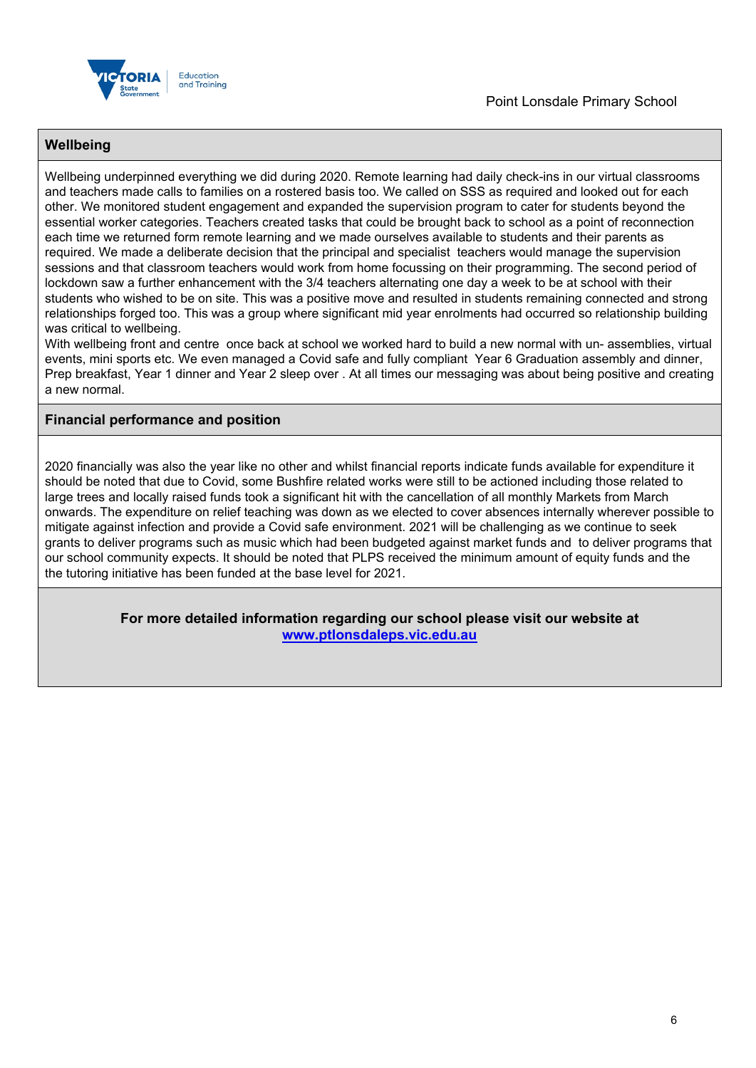

## **Wellbeing**

Wellbeing underpinned everything we did during 2020. Remote learning had daily check-ins in our virtual classrooms and teachers made calls to families on a rostered basis too. We called on SSS as required and looked out for each other. We monitored student engagement and expanded the supervision program to cater for students beyond the essential worker categories. Teachers created tasks that could be brought back to school as a point of reconnection each time we returned form remote learning and we made ourselves available to students and their parents as required. We made a deliberate decision that the principal and specialist teachers would manage the supervision sessions and that classroom teachers would work from home focussing on their programming. The second period of lockdown saw a further enhancement with the 3/4 teachers alternating one day a week to be at school with their students who wished to be on site. This was a positive move and resulted in students remaining connected and strong relationships forged too. This was a group where significant mid year enrolments had occurred so relationship building was critical to wellbeing.

With wellbeing front and centre once back at school we worked hard to build a new normal with un- assemblies, virtual events, mini sports etc. We even managed a Covid safe and fully compliant Year 6 Graduation assembly and dinner, Prep breakfast, Year 1 dinner and Year 2 sleep over . At all times our messaging was about being positive and creating a new normal.

### **Financial performance and position**

2020 financially was also the year like no other and whilst financial reports indicate funds available for expenditure it should be noted that due to Covid, some Bushfire related works were still to be actioned including those related to large trees and locally raised funds took a significant hit with the cancellation of all monthly Markets from March onwards. The expenditure on relief teaching was down as we elected to cover absences internally wherever possible to mitigate against infection and provide a Covid safe environment. 2021 will be challenging as we continue to seek grants to deliver programs such as music which had been budgeted against market funds and to deliver programs that our school community expects. It should be noted that PLPS received the minimum amount of equity funds and the the tutoring initiative has been funded at the base level for 2021.

> **For more detailed information regarding our school please visit our website at <www.ptlonsdaleps.vic.edu.au>**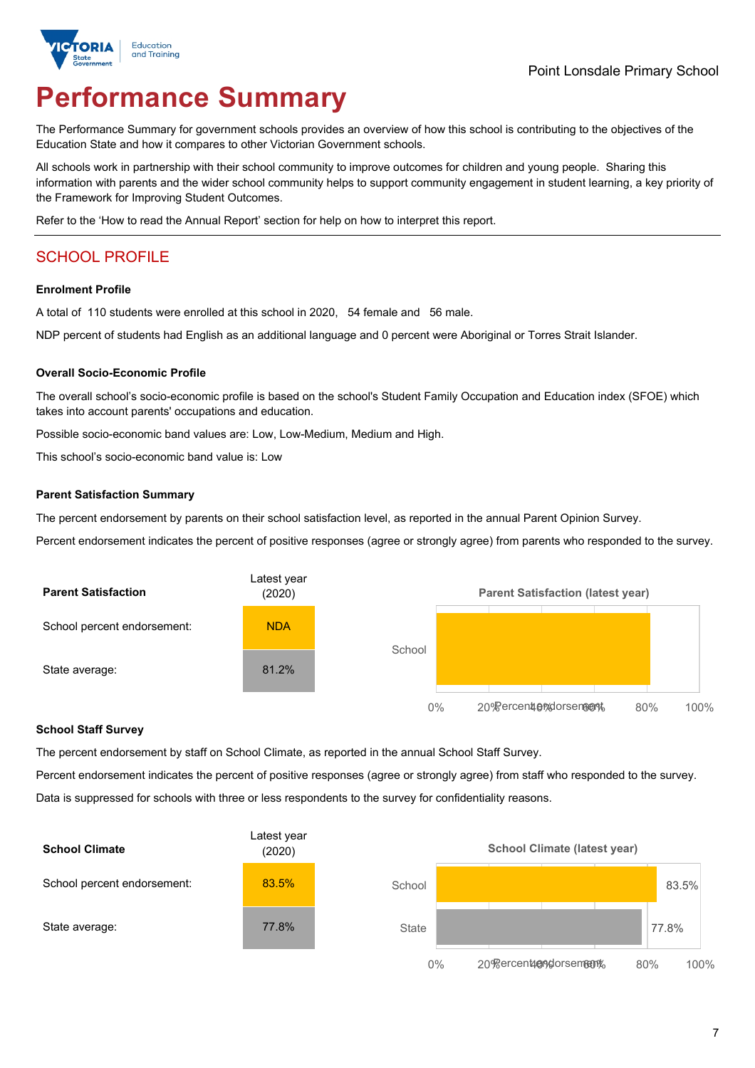

# **Performance Summary**

The Performance Summary for government schools provides an overview of how this school is contributing to the objectives of the Education State and how it compares to other Victorian Government schools.

All schools work in partnership with their school community to improve outcomes for children and young people. Sharing this information with parents and the wider school community helps to support community engagement in student learning, a key priority of the Framework for Improving Student Outcomes.

Refer to the 'How to read the Annual Report' section for help on how to interpret this report.

## SCHOOL PROFILE

#### **Enrolment Profile**

A total of 110 students were enrolled at this school in 2020, 54 female and 56 male.

NDP percent of students had English as an additional language and 0 percent were Aboriginal or Torres Strait Islander.

#### **Overall Socio-Economic Profile**

The overall school's socio-economic profile is based on the school's Student Family Occupation and Education index (SFOE) which takes into account parents' occupations and education.

Possible socio-economic band values are: Low, Low-Medium, Medium and High.

This school's socio-economic band value is: Low

#### **Parent Satisfaction Summary**

The percent endorsement by parents on their school satisfaction level, as reported in the annual Parent Opinion Survey.

Percent endorsement indicates the percent of positive responses (agree or strongly agree) from parents who responded to the survey.



#### **School Staff Survey**

The percent endorsement by staff on School Climate, as reported in the annual School Staff Survey.

Percent endorsement indicates the percent of positive responses (agree or strongly agree) from staff who responded to the survey. Data is suppressed for schools with three or less respondents to the survey for confidentiality reasons.

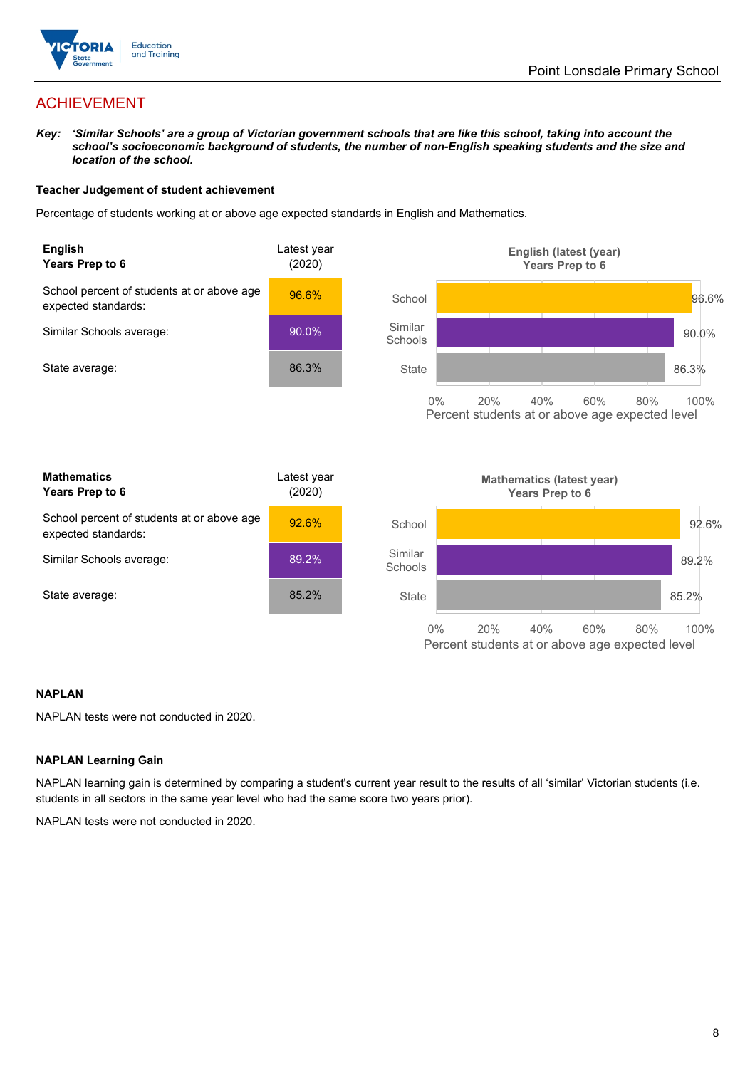

## ACHIEVEMENT

Key: 'Similar Schools' are a group of Victorian government schools that are like this school, taking into account the *school's socioeconomic background of students, the number of non-English speaking students and the size and location of the school.*

#### **Teacher Judgement of student achievement**

Percentage of students working at or above age expected standards in English and Mathematics.



#### **NAPLAN**

NAPLAN tests were not conducted in 2020.

#### **NAPLAN Learning Gain**

NAPLAN learning gain is determined by comparing a student's current year result to the results of all 'similar' Victorian students (i.e. students in all sectors in the same year level who had the same score two years prior).

NAPLAN tests were not conducted in 2020.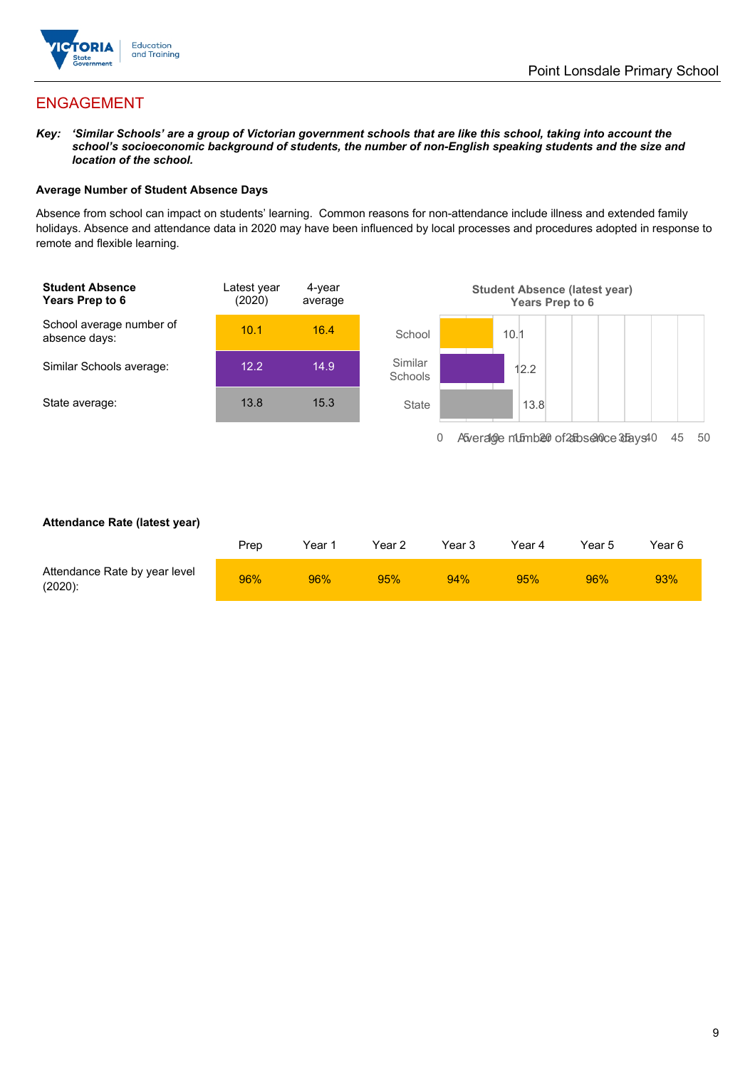

## ENGAGEMENT

Key: 'Similar Schools' are a group of Victorian government schools that are like this school, taking into account the *school's socioeconomic background of students, the number of non-English speaking students and the size and location of the school.*

### **Average Number of Student Absence Days**

Absence from school can impact on students' learning. Common reasons for non-attendance include illness and extended family holidays. Absence and attendance data in 2020 may have been influenced by local processes and procedures adopted in response to remote and flexible learning.



#### **Attendance Rate (latest year)**

|                                             | Prep | Year 1 | Year 2 | Year 3 | Year 4 | Year 5 | Year 6 |
|---------------------------------------------|------|--------|--------|--------|--------|--------|--------|
| Attendance Rate by year level<br>$(2020)$ : | 96%  | 96%    | 95%    | 94%    | 95%    | 96%    | 93%    |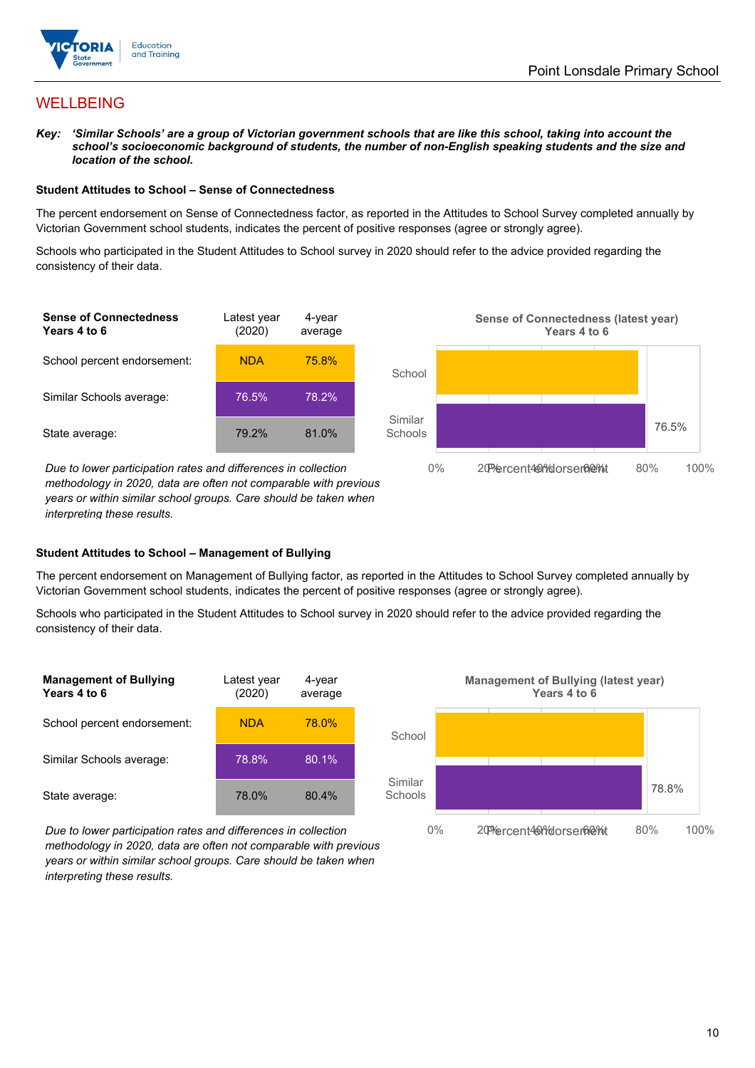

## WELLBEING

Key: 'Similar Schools' are a group of Victorian government schools that are like this school, taking into account the *school's socioeconomic background of students, the number of non-English speaking students and the size and location of the school.*

#### **Student Attitudes to School – Sense of Connectedness**

The percent endorsement on Sense of Connectedness factor, as reported in the Attitudes to School Survey completed annually by Victorian Government school students, indicates the percent of positive responses (agree or strongly agree).

Schools who participated in the Student Attitudes to School survey in 2020 should refer to the advice provided regarding the consistency of their data.



*Due* to lower participation rates and differences in collection *methodology in 2020, data are often not comparable with previous years or within similar school groups. Care should be taken when interpreting these results.*



The percent endorsement on Management of Bullying factor, as reported in the Attitudes to School Survey completed annually by Victorian Government school students, indicates the percent of positive responses (agree or strongly agree).

Schools who participated in the Student Attitudes to School survey in 2020 should refer to the advice provided regarding the consistency of their data.







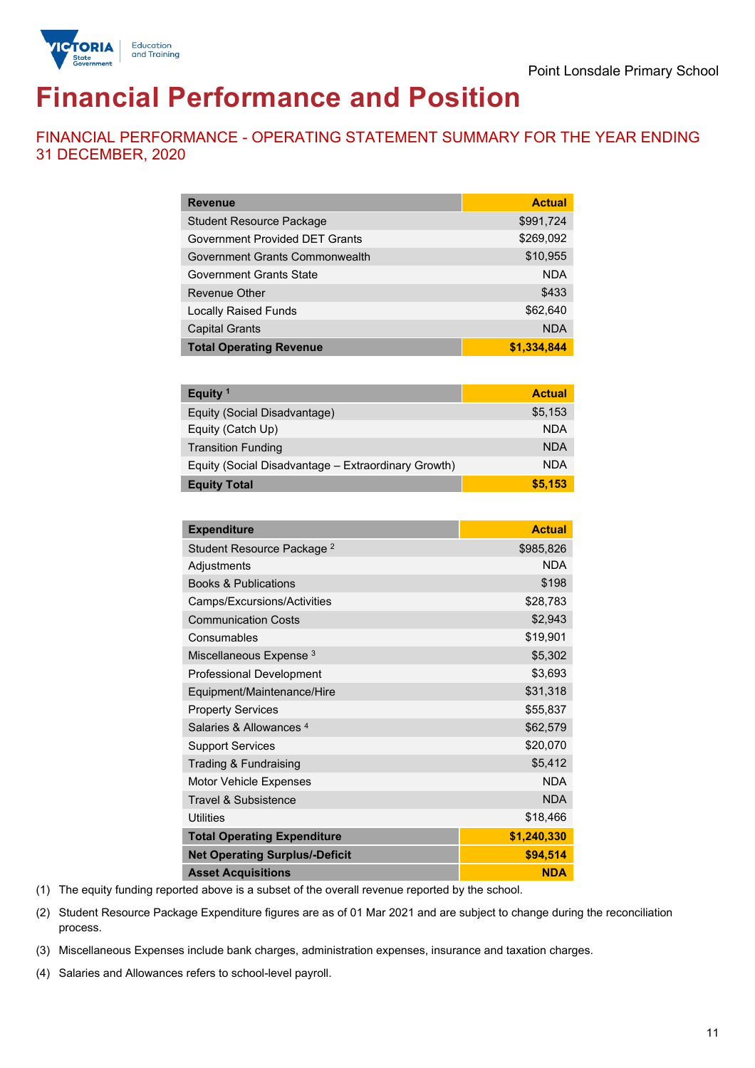

# **Financial Performance and Position**

FINANCIAL PERFORMANCE - OPERATING STATEMENT SUMMARY FOR THE YEAR ENDING 31 DECEMBER, 2020

| <b>Revenue</b>                  | <b>Actual</b> |
|---------------------------------|---------------|
| <b>Student Resource Package</b> | \$991,724     |
| Government Provided DET Grants  | \$269,092     |
| Government Grants Commonwealth  | \$10,955      |
| Government Grants State         | <b>NDA</b>    |
| <b>Revenue Other</b>            | \$433         |
| <b>Locally Raised Funds</b>     | \$62,640      |
| <b>Capital Grants</b>           | <b>NDA</b>    |
| <b>Total Operating Revenue</b>  | \$1,334,844   |

| Equity <sup>1</sup>                                 | <b>Actual</b> |
|-----------------------------------------------------|---------------|
| Equity (Social Disadvantage)                        | \$5,153       |
| Equity (Catch Up)                                   | <b>NDA</b>    |
| <b>Transition Funding</b>                           | <b>NDA</b>    |
| Equity (Social Disadvantage - Extraordinary Growth) | <b>NDA</b>    |
| <b>Equity Total</b>                                 | \$5.153       |

| <b>Expenditure</b>                    | <b>Actual</b> |
|---------------------------------------|---------------|
| Student Resource Package <sup>2</sup> | \$985,826     |
| Adjustments                           | <b>NDA</b>    |
| <b>Books &amp; Publications</b>       | \$198         |
| Camps/Excursions/Activities           | \$28,783      |
| <b>Communication Costs</b>            | \$2,943       |
| Consumables                           | \$19,901      |
| Miscellaneous Expense <sup>3</sup>    | \$5,302       |
| <b>Professional Development</b>       | \$3,693       |
| Equipment/Maintenance/Hire            | \$31,318      |
| <b>Property Services</b>              | \$55,837      |
| Salaries & Allowances 4               | \$62,579      |
| <b>Support Services</b>               | \$20,070      |
| Trading & Fundraising                 | \$5,412       |
| Motor Vehicle Expenses                | <b>NDA</b>    |
| Travel & Subsistence                  | <b>NDA</b>    |
| <b>Utilities</b>                      | \$18,466      |
| <b>Total Operating Expenditure</b>    | \$1,240,330   |
| <b>Net Operating Surplus/-Deficit</b> | \$94,514      |
| <b>Asset Acquisitions</b>             | <b>NDA</b>    |

(1) The equity funding reported above is a subset of the overall revenue reported by the school.

(2) Student Resource Package Expenditure figures are as of 01 Mar 2021 and are subject to change during the reconciliation process.

(3) Miscellaneous Expenses include bank charges, administration expenses, insurance and taxation charges.

(4) Salaries and Allowances refers to school-level payroll.